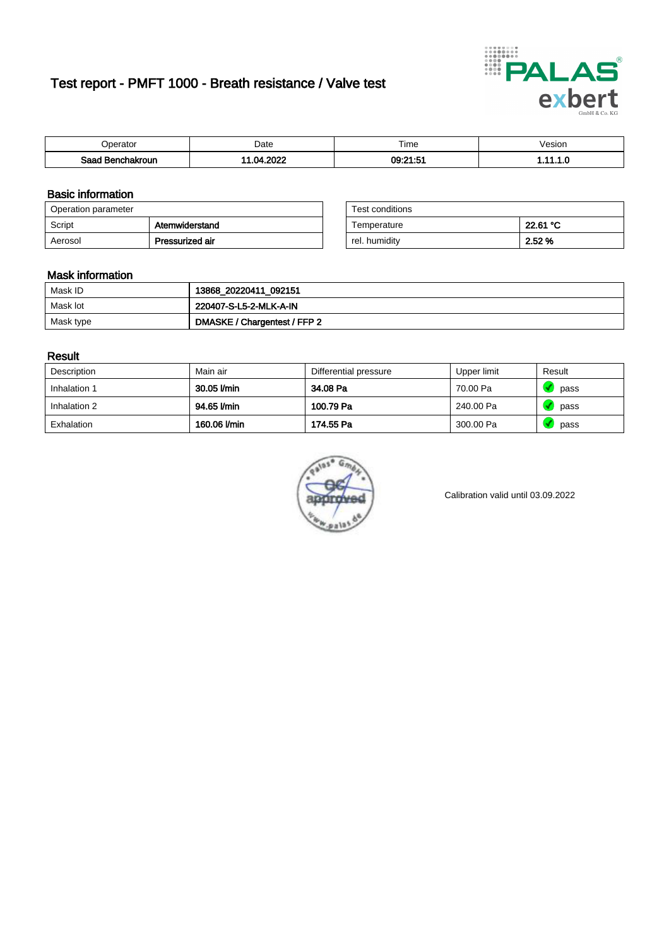# Test report - PMFT 1000 - Breath resistance / Valve test



| )perator               | Date               | $- \cdot$<br>Fime | esion |
|------------------------|--------------------|-------------------|-------|
| המס<br>hakroun<br>32 H | 2022<br>n.<br>78 Z | 09:21:51          | .     |

### Basic information

| Operation parameter |                 | Test conditions |          |
|---------------------|-----------------|-----------------|----------|
| Script              | Atemwiderstand  | Temperature     | 22.61 °C |
| Aerosol             | Pressurized air | rel. humidity   | 2.52 %   |

| Test conditions |          |
|-----------------|----------|
| Temperature     | 22.61 °C |
| rel. humidity   | 2.52%    |

### Mask information

| Mask ID   | 13868_20220411_092151        |
|-----------|------------------------------|
| Mask lot  | 220407-S-L5-2-MLK-A-IN       |
| Mask type | DMASKE / Chargentest / FFP 2 |

### Result

| Description  | Main air     | Differential pressure | Upper limit | Result |
|--------------|--------------|-----------------------|-------------|--------|
| Inhalation 1 | 30.05 l/min  | 34.08 Pa              | 70.00 Pa    | pass   |
| Inhalation 2 | 94.65 l/min  | 100.79 Pa             | 240.00 Pa   | pass   |
| Exhalation   | 160.06 l/min | 174.55 Pa             | 300.00 Pa   | pass   |



Calibration valid until 03.09.2022